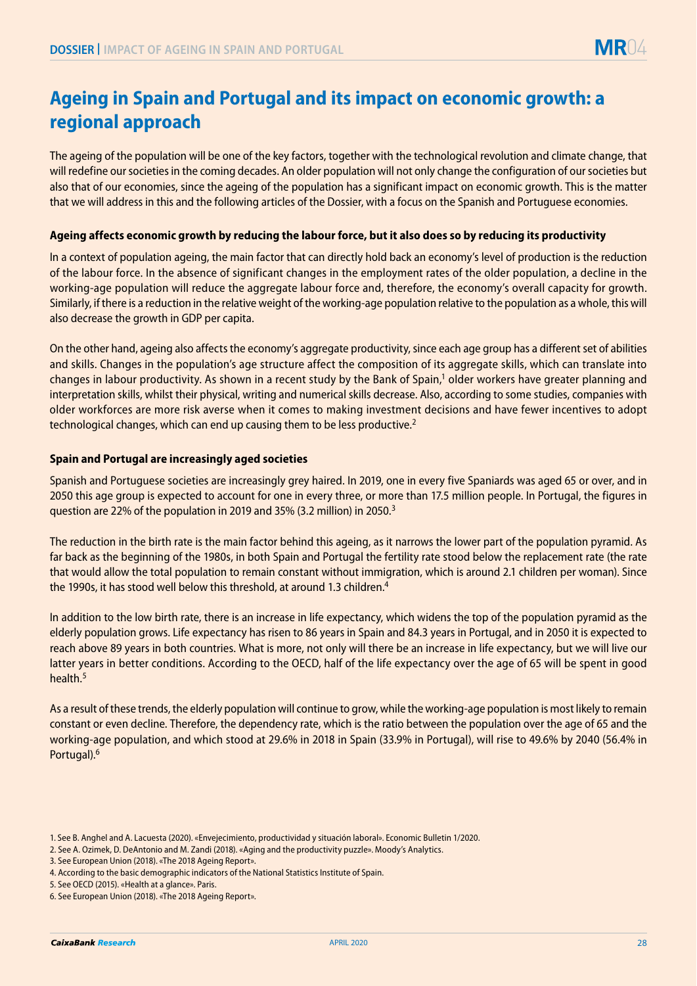# **Ageing in Spain and Portugal and its impact on economic growth: a regional approach**

The ageing of the population will be one of the key factors, together with the technological revolution and climate change, that will redefine our societies in the coming decades. An older population will not only change the configuration of our societies but also that of our economies, since the ageing of the population has a significant impact on economic growth. This is the matter that we will address in this and the following articles of the Dossier, with a focus on the Spanish and Portuguese economies.

# **Ageing affects economic growth by reducing the labour force, but it also does so by reducing its productivity**

In a context of population ageing, the main factor that can directly hold back an economy's level of production is the reduction of the labour force. In the absence of significant changes in the employment rates of the older population, a decline in the working-age population will reduce the aggregate labour force and, therefore, the economy's overall capacity for growth. Similarly, if there is a reduction in the relative weight of the working-age population relative to the population as a whole, this will also decrease the growth in GDP per capita.

On the other hand, ageing also affects the economy's aggregate productivity, since each age group has a different set of abilities and skills. Changes in the population's age structure affect the composition of its aggregate skills, which can translate into changes in labour productivity. As shown in a recent study by the Bank of Spain,<sup>1</sup> older workers have greater planning and interpretation skills, whilst their physical, writing and numerical skills decrease. Also, according to some studies, companies with older workforces are more risk averse when it comes to making investment decisions and have fewer incentives to adopt technological changes, which can end up causing them to be less productive.2

### **Spain and Portugal are increasingly aged societies**

Spanish and Portuguese societies are increasingly grey haired. In 2019, one in every five Spaniards was aged 65 or over, and in 2050 this age group is expected to account for one in every three, or more than 17.5 million people. In Portugal, the figures in question are 22% of the population in 2019 and 35% (3.2 million) in 2050.3

The reduction in the birth rate is the main factor behind this ageing, as it narrows the lower part of the population pyramid. As far back as the beginning of the 1980s, in both Spain and Portugal the fertility rate stood below the replacement rate (the rate that would allow the total population to remain constant without immigration, which is around 2.1 children per woman). Since the 1990s, it has stood well below this threshold, at around 1.3 children.<sup>4</sup>

In addition to the low birth rate, there is an increase in life expectancy, which widens the top of the population pyramid as the elderly population grows. Life expectancy has risen to 86 years in Spain and 84.3 years in Portugal, and in 2050 it is expected to reach above 89 years in both countries. What is more, not only will there be an increase in life expectancy, but we will live our latter years in better conditions. According to the OECD, half of the life expectancy over the age of 65 will be spent in good health.5

As a result of these trends, the elderly population will continue to grow, while the working-age population is most likely to remain constant or even decline. Therefore, the dependency rate, which is the ratio between the population over the age of 65 and the working-age population, and which stood at 29.6% in 2018 in Spain (33.9% in Portugal), will rise to 49.6% by 2040 (56.4% in Portugal).6

<sup>1.</sup> See B. Anghel and A. Lacuesta (2020). «Envejecimiento, productividad y situación laboral». Economic Bulletin 1/2020.

<sup>2.</sup> See A. Ozimek, D. DeAntonio and M. Zandi (2018). «Aging and the productivity puzzle». Moody's Analytics.

<sup>3.</sup> See European Union (2018). «The 2018 Ageing Report».

<sup>4.</sup> According to the basic demographic indicators of the National Statistics Institute of Spain.

<sup>5.</sup> See OECD (2015). «Health at a glance». Paris.

<sup>6.</sup> See European Union (2018). «The 2018 Ageing Report».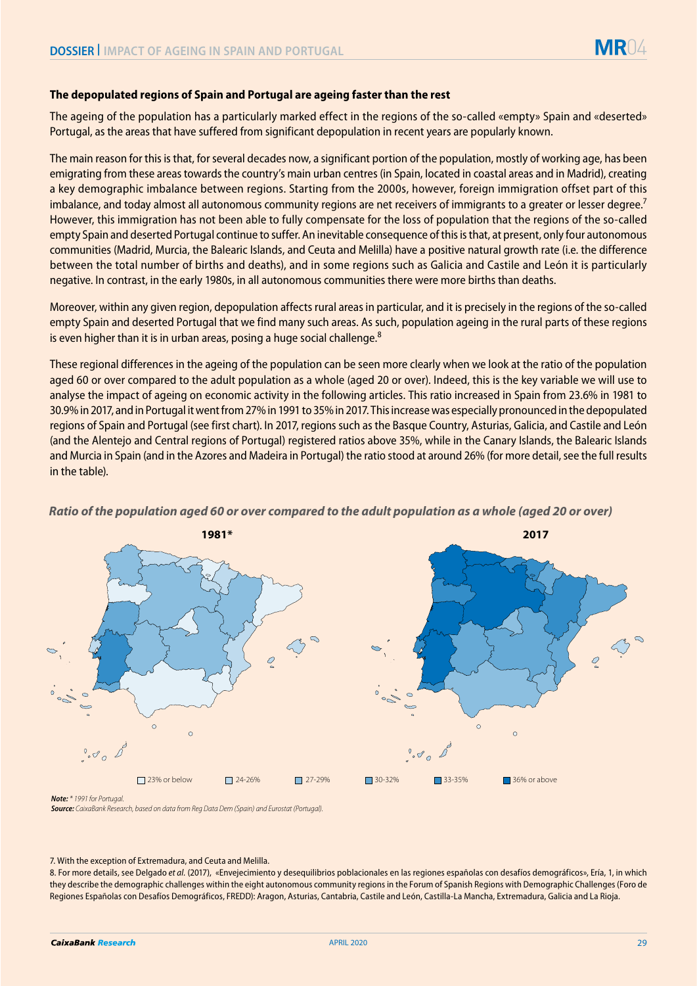### **The depopulated regions of Spain and Portugal are ageing faster than the rest**

The ageing of the population has a particularly marked effect in the regions of the so-called «empty» Spain and «deserted» Portugal, as the areas that have suffered from significant depopulation in recent years are popularly known.

The main reason for this is that, for several decades now, a significant portion of the population, mostly of working age, has been emigrating from these areas towards the country's main urban centres (in Spain, located in coastal areas and in Madrid), creating a key demographic imbalance between regions. Starting from the 2000s, however, foreign immigration offset part of this imbalance, and today almost all autonomous community regions are net receivers of immigrants to a greater or lesser degree.<sup>7</sup> However, this immigration has not been able to fully compensate for the loss of population that the regions of the so-called empty Spain and deserted Portugal continue to suffer. An inevitable consequence of this is that, at present, only four autonomous communities (Madrid, Murcia, the Balearic Islands, and Ceuta and Melilla) have a positive natural growth rate (i.e. the difference between the total number of births and deaths), and in some regions such as Galicia and Castile and León it is particularly negative. In contrast, in the early 1980s, in all autonomous communities there were more births than deaths.

Moreover, within any given region, depopulation affects rural areas in particular, and it is precisely in the regions of the so-called empty Spain and deserted Portugal that we find many such areas. As such, population ageing in the rural parts of these regions is even higher than it is in urban areas, posing a huge social challenge.<sup>8</sup>

These regional differences in the ageing of the population can be seen more clearly when we look at the ratio of the population aged 60 or over compared to the adult population as a whole (aged 20 or over). Indeed, this is the key variable we will use to analyse the impact of ageing on economic activity in the following articles. This ratio increased in Spain from 23.6% in 1981 to 30.9% in 2017, and in Portugal it went from 27% in 1991 to 35% in 2017. This increase was especially pronounced in the depopulated regions of Spain and Portugal (see first chart). In 2017, regions such as the Basque Country, Asturias, Galicia, and Castile and León (and the Alentejo and Central regions of Portugal) registered ratios above 35%, while in the Canary Islands, the Balearic Islands and Murcia in Spain (and in the Azores and Madeira in Portugal) the ratio stood at around 26% (for more detail, see the full results in the table).



# *Ratio of the population aged 60 or over compared to the adult population as a whole (aged 20 or over)* **1981\* 2017**



*Note: \* 1991 for Portugal.*

*Source: CaixaBank Research, based on data from Reg Data Dem (Spain) and Eurostat (Portugal).* 

#### 7. With the exception of Extremadura, and Ceuta and Melilla.

8. For more details, see Delgado *et al.* (2017), «Envejecimiento y desequilibrios poblacionales en las regiones españolas con desafíos demográficos», Ería, 1, in which they describe the demographic challenges within the eight autonomous community regions in the Forum of Spanish Regions with Demographic Challenges (Foro de Regiones Españolas con Desafíos Demográficos, FREDD): Aragon, Asturias, Cantabria, Castile and León, Castilla-La Mancha, Extremadura, Galicia and La Rioja.